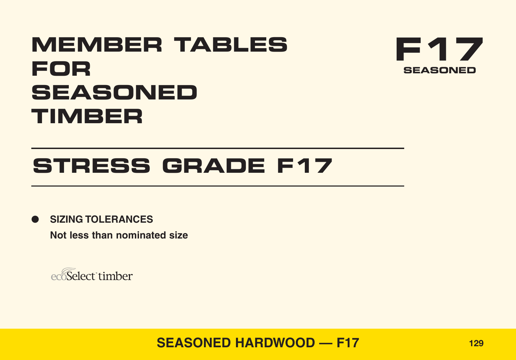# **MEMBER TABLES FOR SEASONED TIMBER**



# **STRESS GRADE F17**

● **SIZING TOLERANCES Not less than nominated size**

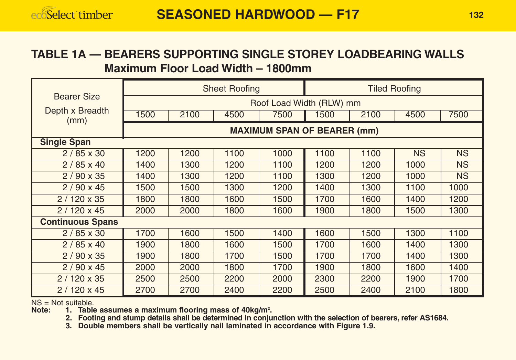#### **TABLE 1A — BEARERS SUPPORTING SINGLE STOREY LOADBEARING WALLS Maximum Floor Load Width – 1800mm**

|                         |                                    |      | <b>Sheet Roofing</b> |                          |      |      | <b>Tiled Roofing</b> |           |  |  |  |  |  |
|-------------------------|------------------------------------|------|----------------------|--------------------------|------|------|----------------------|-----------|--|--|--|--|--|
| <b>Bearer Size</b>      |                                    |      |                      | Roof Load Width (RLW) mm |      |      |                      |           |  |  |  |  |  |
| Depth x Breadth<br>(mm) | 1500                               | 2100 | 4500                 | 7500                     | 1500 | 2100 | 4500                 | 7500      |  |  |  |  |  |
|                         | <b>MAXIMUM SPAN OF BEARER (mm)</b> |      |                      |                          |      |      |                      |           |  |  |  |  |  |
| <b>Single Span</b>      |                                    |      |                      |                          |      |      |                      |           |  |  |  |  |  |
| $2/85 \times 30$        | 1200                               | 1200 | 1100                 | 1000                     | 1100 | 1100 | <b>NS</b>            | <b>NS</b> |  |  |  |  |  |
| $2/85 \times 40$        | 1400                               | 1300 | 1200                 | 1100                     | 1200 | 1200 | 1000                 | <b>NS</b> |  |  |  |  |  |
| $2/90 \times 35$        | 1400                               | 1300 | 1200                 | 1100                     | 1300 | 1200 | 1000                 | <b>NS</b> |  |  |  |  |  |
| $2/90 \times 45$        | 1500                               | 1500 | 1300                 | 1200                     | 1400 | 1300 | 1100                 | 1000      |  |  |  |  |  |
| $2/120 \times 35$       | 1800                               | 1800 | 1600                 | 1500                     | 1700 | 1600 | 1400                 | 1200      |  |  |  |  |  |
| $2/120 \times 45$       | 2000                               | 2000 | 1800                 | 1600                     | 1900 | 1800 | 1500                 | 1300      |  |  |  |  |  |
| <b>Continuous Spans</b> |                                    |      |                      |                          |      |      |                      |           |  |  |  |  |  |
| $2/85 \times 30$        | 1700                               | 1600 | 1500                 | 1400                     | 1600 | 1500 | 1300                 | 1100      |  |  |  |  |  |
| $2/85 \times 40$        | 1900                               | 1800 | 1600                 | 1500                     | 1700 | 1600 | 1400                 | 1300      |  |  |  |  |  |
| $2/90 \times 35$        | 1900                               | 1800 | 1700                 | 1500                     | 1700 | 1700 | 1400                 | 1300      |  |  |  |  |  |
| $2/90 \times 45$        | 2000                               | 2000 | 1800                 | 1700                     | 1900 | 1800 | 1600                 | 1400      |  |  |  |  |  |
| $2/120 \times 35$       | 2500                               | 2500 | 2200                 | 2000                     | 2300 | 2200 | 1900                 | 1700      |  |  |  |  |  |
| $2/120 \times 45$       | 2700                               | 2700 | 2400                 | 2200                     | 2500 | 2400 | 2100                 | 1800      |  |  |  |  |  |

NS = Not suitable.<br>Note: 1. Table

Note: 1. Table assumes a maximum flooring mass of 40kg/m<sup>2</sup>.

**2. Footing and stump details shall be determined in conjunction with the selection of bearers, refer AS1684. 3. Double members shall be vertically nail laminated in accordance with Figure 1.9.**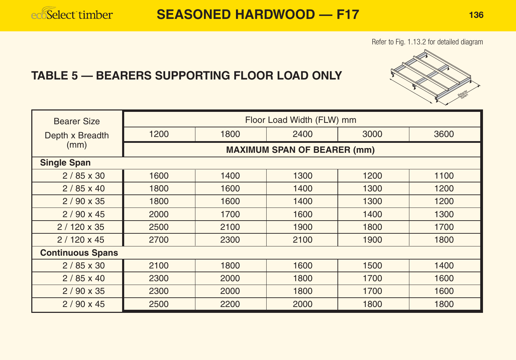#### Refer to Fig. 1.13.2 for detailed diagram

## **TABLE 5 — BEARERS SUPPORTING FLOOR LOAD ONLY**



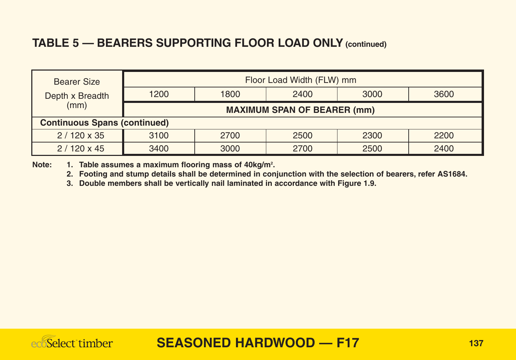## **TABLE 5 — BEARERS SUPPORTING FLOOR LOAD ONLY (continued)**

| Bearer Size                         | Floor Load Width (FLW) mm          |      |      |      |      |  |  |  |  |  |  |
|-------------------------------------|------------------------------------|------|------|------|------|--|--|--|--|--|--|
| Depth x Breadth                     | 1200                               | 1800 | 2400 | 3000 | 3600 |  |  |  |  |  |  |
| (mm)                                | <b>MAXIMUM SPAN OF BEARER (mm)</b> |      |      |      |      |  |  |  |  |  |  |
| <b>Continuous Spans (continued)</b> |                                    |      |      |      |      |  |  |  |  |  |  |
| $2/120 \times 35$                   | 3100                               | 2700 | 2500 | 2300 | 2200 |  |  |  |  |  |  |
| $2/120 \times 45$                   | 3400                               | 3000 | 2700 | 2500 | 2400 |  |  |  |  |  |  |

Note: 1. Table assumes a maximum flooring mass of 40kg/m<sup>2</sup>.

**2. Footing and stump details shall be determined in conjunction with the selection of bearers, refer AS1684.**

**3. Double members shall be vertically nail laminated in accordance with Figure 1.9.**

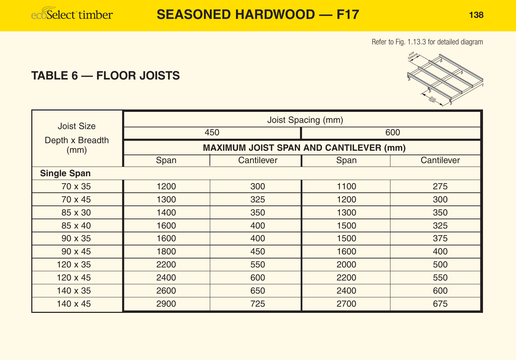ecoSelect timber

Refer to Fig. 1.13.3 for detailed diagram

## **TABLE 6 — FLOOR JOISTS**

| Joist Size              |      |                                               | Joist Spacing (mm) |            |  |  |
|-------------------------|------|-----------------------------------------------|--------------------|------------|--|--|
|                         |      | 450                                           | 600                |            |  |  |
| Depth x Breadth<br>(mm) |      | <b>MAXIMUM JOIST SPAN AND CANTILEVER (mm)</b> |                    |            |  |  |
|                         | Span | Cantilever                                    | Span               | Cantilever |  |  |
| <b>Single Span</b>      |      |                                               |                    |            |  |  |
| 70 x 35                 | 1200 | 300                                           | 1100               | 275        |  |  |
| 70 x 45                 | 1300 | 325                                           | 1200               | 300        |  |  |
| 85 x 30                 | 1400 | 350                                           | 1300               | 350        |  |  |
| 85 x 40                 | 1600 | 400                                           | 1500               | 325        |  |  |
| $90 \times 35$          | 1600 | 400                                           | 1500               | 375        |  |  |
| $90 \times 45$          | 1800 | 450                                           | 1600               | 400        |  |  |
| $120 \times 35$         | 2200 | 550                                           | 2000               | 500        |  |  |
| $120 \times 45$         | 2400 | 600                                           | 2200               | 550        |  |  |
| 140 x 35                | 2600 | 650                                           | 2400               | 600        |  |  |
| $140 \times 45$         | 2900 | 725                                           | 2700               | 675        |  |  |

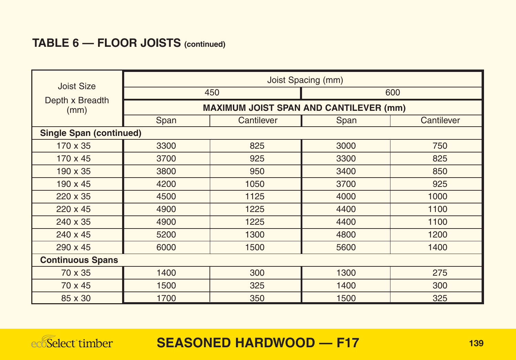## **TABLE 6 — FLOOR JOISTS (continued)**

| Joist Size                     |                                               |            | <b>Joist Spacing (mm)</b> |            |  |  |  |  |  |  |
|--------------------------------|-----------------------------------------------|------------|---------------------------|------------|--|--|--|--|--|--|
|                                |                                               | 450        | 600                       |            |  |  |  |  |  |  |
| Depth x Breadth<br>(mm)        | <b>MAXIMUM JOIST SPAN AND CANTILEVER (mm)</b> |            |                           |            |  |  |  |  |  |  |
|                                | Span                                          | Cantilever | Span                      | Cantilever |  |  |  |  |  |  |
| <b>Single Span (continued)</b> |                                               |            |                           |            |  |  |  |  |  |  |
| 170 x 35                       | 3300                                          | 825        | 3000                      | 750        |  |  |  |  |  |  |
| $170 \times 45$                | 3700                                          | 925        | 3300                      | 825        |  |  |  |  |  |  |
| 190 x 35                       | 3800                                          | 950        | 3400                      | 850        |  |  |  |  |  |  |
| 190 x 45                       | 4200                                          | 1050       | 3700                      | 925        |  |  |  |  |  |  |
| 220 x 35                       | 4500                                          | 1125       | 4000                      | 1000       |  |  |  |  |  |  |
| $220 \times 45$                | 4900                                          | 1225       | 4400                      | 1100       |  |  |  |  |  |  |
| 240 x 35                       | 4900                                          | 1225       | 4400                      | 1100       |  |  |  |  |  |  |
| 240 x 45                       | 5200                                          | 1300       | 4800                      | 1200       |  |  |  |  |  |  |
| 290 x 45                       | 6000                                          | 1500       | 5600                      | 1400       |  |  |  |  |  |  |
| <b>Continuous Spans</b>        |                                               |            |                           |            |  |  |  |  |  |  |
| 70 x 35                        | 1400                                          | 300        | 1300                      | 275        |  |  |  |  |  |  |
| 70 x 45                        | 1500                                          | 325        | 1400                      | 300        |  |  |  |  |  |  |
| 85 x 30                        | 1700                                          | 350        | 1500                      | 325        |  |  |  |  |  |  |

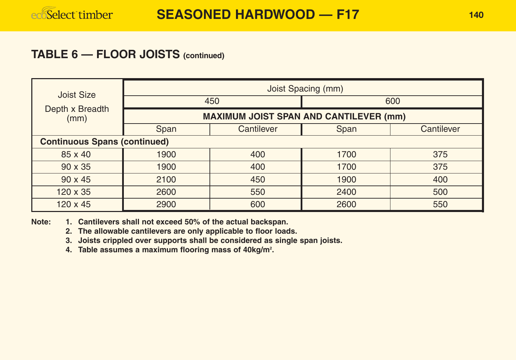#### **TABLE 6 — FLOOR JOISTS (continued)**

| <b>Joist Size</b>                   |                                               |            | Joist Spacing (mm) |            |  |  |  |  |  |  |  |
|-------------------------------------|-----------------------------------------------|------------|--------------------|------------|--|--|--|--|--|--|--|
|                                     |                                               | 450        | 600                |            |  |  |  |  |  |  |  |
| Depth x Breadth<br>(mm)             | <b>MAXIMUM JOIST SPAN AND CANTILEVER (mm)</b> |            |                    |            |  |  |  |  |  |  |  |
|                                     | Span                                          | Cantilever | Span               | Cantilever |  |  |  |  |  |  |  |
| <b>Continuous Spans (continued)</b> |                                               |            |                    |            |  |  |  |  |  |  |  |
| 85 x 40                             | 1900                                          | 400        | 1700               | 375        |  |  |  |  |  |  |  |
| $90 \times 35$                      | 1900                                          | 400        | 1700               | 375        |  |  |  |  |  |  |  |
| $90 \times 45$                      | 2100                                          | 450        | 1900               | 400        |  |  |  |  |  |  |  |
| $120 \times 35$                     | 2600                                          | 550        | 2400               | 500        |  |  |  |  |  |  |  |
| $120 \times 45$                     | 2900                                          | 600        | 2600               | 550        |  |  |  |  |  |  |  |

**Note: 1. Cantilevers shall not exceed 50% of the actual backspan.**

**2. The allowable cantilevers are only applicable to floor loads.**

**3. Joists crippled over supports shall be considered as single span joists.**

**4. Table assumes a maximum flooring mass of 40kg/m2 .**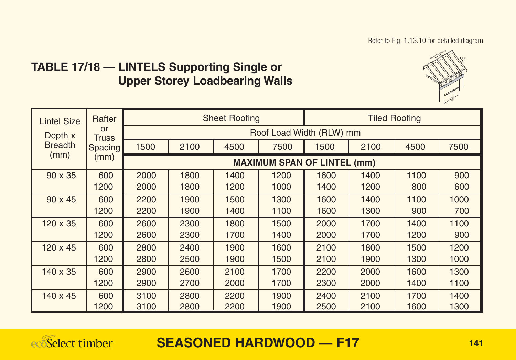## **TABLE 17/18 — LINTELS Supporting Single or Upper Storey Loadbearing Walls**



| <b>Lintel Size</b>     | Rafter             |      |                                    | <b>Sheet Roofing</b> |      |      |      | <b>Tiled Roofing</b> |      |  |  |  |  |
|------------------------|--------------------|------|------------------------------------|----------------------|------|------|------|----------------------|------|--|--|--|--|
| Depth x                | or<br><b>Truss</b> |      | Roof Load Width (RLW) mm           |                      |      |      |      |                      |      |  |  |  |  |
| <b>Breadth</b><br>(mm) | <b>Spacing</b>     | 1500 | 2100                               | 4500                 | 7500 | 1500 | 2100 | 4500                 | 7500 |  |  |  |  |
|                        | (mm)               |      | <b>MAXIMUM SPAN OF LINTEL (mm)</b> |                      |      |      |      |                      |      |  |  |  |  |
| $90 \times 35$         | 600                | 2000 | 1800                               | 1400                 | 1200 | 1600 | 1400 | 1100                 | 900  |  |  |  |  |
|                        | 1200               | 2000 | 1800                               | 1200                 | 1000 | 1400 | 1200 | 800                  | 600  |  |  |  |  |
| $90 \times 45$         | 600                | 2200 | 1900                               | 1500                 | 1300 | 1600 | 1400 | 1100                 | 1000 |  |  |  |  |
|                        | 1200               | 2200 | 1900                               | 1400                 | 1100 | 1600 | 1300 | 900                  | 700  |  |  |  |  |
| 120 x 35               | 600                | 2600 | 2300                               | 1800                 | 1500 | 2000 | 1700 | 1400                 | 1100 |  |  |  |  |
|                        | 1200               | 2600 | 2300                               | 1700                 | 1400 | 2000 | 1700 | 1200                 | 900  |  |  |  |  |
| $120 \times 45$        | 600                | 2800 | 2400                               | 1900                 | 1600 | 2100 | 1800 | 1500                 | 1200 |  |  |  |  |
|                        | 1200               | 2800 | 2500                               | 1900                 | 1500 | 2100 | 1900 | 1300                 | 1000 |  |  |  |  |
| $140 \times 35$        | 600                | 2900 | 2600                               | 2100                 | 1700 | 2200 | 2000 | 1600                 | 1300 |  |  |  |  |
|                        | 1200               | 2900 | 2700                               | 2000                 | 1700 | 2300 | 2000 | 1400                 | 1100 |  |  |  |  |
| $140 \times 45$        | 600                | 3100 | 2800                               | 2200                 | 1900 | 2400 | 2100 | 1700                 | 1400 |  |  |  |  |
|                        | 1200               | 3100 | 2800                               | 2200                 | 1900 | 2500 | 2100 | 1600                 | 1300 |  |  |  |  |

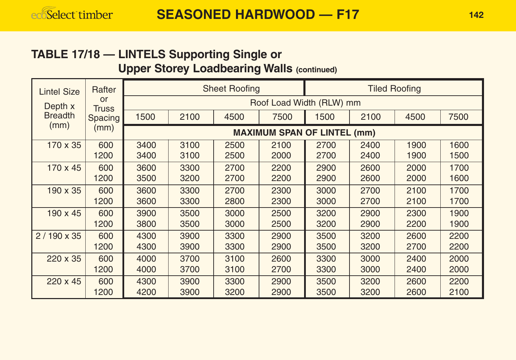### **TABLE 17/18 — LINTELS Supporting Single or Upper Storey Loadbearing Walls (continued)**

| <b>Lintel Size</b> | Rafter             |                                    |      | <b>Sheet Roofing</b> |                          | <b>Tiled Roofing</b> |      |      |      |  |  |  |
|--------------------|--------------------|------------------------------------|------|----------------------|--------------------------|----------------------|------|------|------|--|--|--|
| Depth x            | or<br><b>Truss</b> |                                    |      |                      | Roof Load Width (RLW) mm |                      |      |      |      |  |  |  |
| <b>Breadth</b>     | Spacing            | 1500                               | 2100 | 4500                 | 7500                     | 1500                 | 2100 | 4500 | 7500 |  |  |  |
| (mm)               | (mm)               | <b>MAXIMUM SPAN OF LINTEL (mm)</b> |      |                      |                          |                      |      |      |      |  |  |  |
| 170 x 35           | 600                | 3400                               | 3100 | 2500                 | 2100                     | 2700                 | 2400 | 1900 | 1600 |  |  |  |
|                    | 1200               | 3400                               | 3100 | 2500                 | 2000                     | 2700                 | 2400 | 1900 | 1500 |  |  |  |
| 170 x 45           | 600                | 3600                               | 3300 | 2700                 | 2200                     | 2900                 | 2600 | 2000 | 1700 |  |  |  |
|                    | 1200               | 3500                               | 3200 | 2700                 | 2200                     | 2900                 | 2600 | 2000 | 1600 |  |  |  |
| $190 \times 35$    | 600                | 3600                               | 3300 | 2700                 | 2300                     | 3000                 | 2700 | 2100 | 1700 |  |  |  |
|                    | 1200               | 3600                               | 3300 | 2800                 | 2300                     | 3000                 | 2700 | 2100 | 1700 |  |  |  |
| $190 \times 45$    | 600                | 3900                               | 3500 | 3000                 | 2500                     | 3200                 | 2900 | 2300 | 1900 |  |  |  |
|                    | 1200               | 3800                               | 3500 | 3000                 | 2500                     | 3200                 | 2900 | 2200 | 1900 |  |  |  |
| $2/190 \times 35$  | 600                | 4300                               | 3900 | 3300                 | 2900                     | 3500                 | 3200 | 2600 | 2200 |  |  |  |
|                    | 1200               | 4300                               | 3900 | 3300                 | 2900                     | 3500                 | 3200 | 2700 | 2200 |  |  |  |
| 220 x 35           | 600                | 4000                               | 3700 | 3100                 | 2600                     | 3300                 | 3000 | 2400 | 2000 |  |  |  |
|                    | 1200               | 4000                               | 3700 | 3100                 | 2700                     | 3300                 | 3000 | 2400 | 2000 |  |  |  |
| 220 x 45           | 600                | 4300                               | 3900 | 3300                 | 2900                     | 3500                 | 3200 | 2600 | 2200 |  |  |  |
|                    | 1200               | 4200                               | 3900 | 3200                 | 2900                     | 3500                 | 3200 | 2600 | 2100 |  |  |  |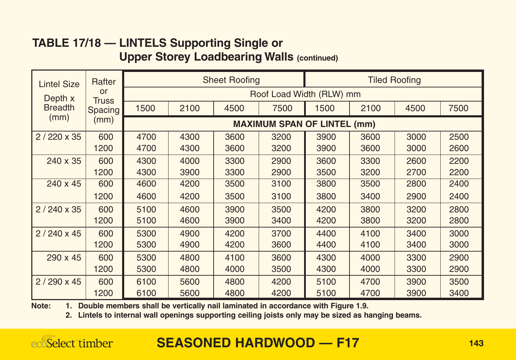#### **TABLE 17/18 — LINTELS Supporting Single or Upper Storey Loadbearing Walls (continued)**

| <b>Lintel Size</b> | Rafter                     |      |      | <b>Sheet Roofing</b> |                                    | <b>Tiled Roofing</b> |      |      |      |  |
|--------------------|----------------------------|------|------|----------------------|------------------------------------|----------------------|------|------|------|--|
| Depth x            | $\alpha$ r<br><b>Truss</b> |      |      |                      | Roof Load Width (RLW) mm           |                      |      |      |      |  |
| <b>Breadth</b>     | Spacing                    | 1500 | 2100 | 4500                 | 7500                               | 1500                 | 2100 | 4500 | 7500 |  |
| (mm)               | mm)                        |      |      |                      | <b>MAXIMUM SPAN OF LINTEL (mm)</b> |                      |      |      |      |  |
| $2/220 \times 35$  | 600                        | 4700 | 4300 | 3600                 | 3200                               | 3900                 | 3600 | 3000 | 2500 |  |
|                    | 1200                       | 4700 | 4300 | 3600                 | 3200                               | 3900                 | 3600 | 3000 | 2600 |  |
| 240 x 35           | 600                        | 4300 | 4000 | 3300                 | 2900                               | 3600                 | 3300 | 2600 | 2200 |  |
|                    | 1200                       | 4300 | 3900 | 3300                 | 2900                               | 3500                 | 3200 | 2700 | 2200 |  |
| 240 x 45           | 600                        | 4600 | 4200 | 3500                 | 3100                               | 3800                 | 3500 | 2800 | 2400 |  |
|                    | 1200                       | 4600 | 4200 | 3500                 | 3100                               | 3800                 | 3400 | 2900 | 2400 |  |
| $2/240 \times 35$  | 600                        | 5100 | 4600 | 3900                 | 3500                               | 4200                 | 3800 | 3200 | 2800 |  |
|                    | 1200                       | 5100 | 4600 | 3900                 | 3400                               | 4200                 | 3800 | 3200 | 2800 |  |
| $2/240 \times 45$  | 600                        | 5300 | 4900 | 4200                 | 3700                               | 4400                 | 4100 | 3400 | 3000 |  |
|                    | 1200                       | 5300 | 4900 | 4200                 | 3600                               | 4400                 | 4100 | 3400 | 3000 |  |
| 290 x 45           | 600                        | 5300 | 4800 | 4100                 | 3600                               | 4300                 | 4000 | 3300 | 2900 |  |
|                    | 1200                       | 5300 | 4800 | 4000                 | 3500                               | 4300                 | 4000 | 3300 | 2900 |  |
| $2/290 \times 45$  | 600                        | 6100 | 5600 | 4800                 | 4200                               | 5100                 | 4700 | 3900 | 3500 |  |
|                    | 1200                       | 6100 | 5600 | 4800                 | 4200                               | 5100                 | 4700 | 3900 | 3400 |  |

**Note: 1. Double members shall be vertically nail laminated in accordance with Figure 1.9.**

**2. Lintels to internal wall openings supporting ceiling joists only may be sized as hanging beams.**

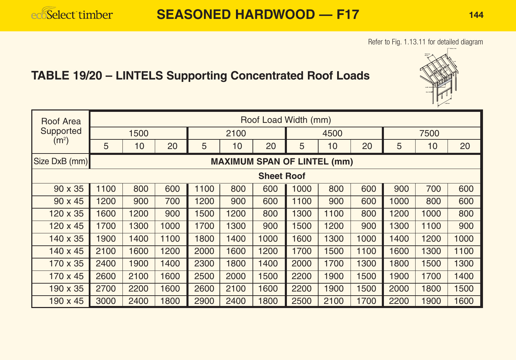#### Refer to Fig. 1.13.11 for detailed diagram

# **TABLE 19/20 – LINTELS Supporting Concentrated Roof Loads**



| Roof Area         |      |      |      |      |      | Roof Load Width (mm)               |      |      |      |      |      |      |
|-------------------|------|------|------|------|------|------------------------------------|------|------|------|------|------|------|
| Supported         |      | 1500 |      | 2100 |      |                                    | 4500 |      |      | 7500 |      |      |
| (m <sup>2</sup> ) | 5    | 10   | 20   | 5    | 10   | 20                                 | 5    | 10   | 20   | 5    | 10   | 20   |
| Size DxB (mm)     |      |      |      |      |      | <b>MAXIMUM SPAN OF LINTEL (mm)</b> |      |      |      |      |      |      |
|                   |      |      |      |      |      | <b>Sheet Roof</b>                  |      |      |      |      |      |      |
| 90 x 35           | 1100 | 800  | 600  | 1100 | 800  | 600                                | 1000 | 800  | 600  | 900  | 700  | 600  |
| $90 \times 45$    | 1200 | 900  | 700  | 1200 | 900  | 600                                | 1100 | 900  | 600  | 1000 | 800  | 600  |
| $120 \times 35$   | 1600 | 1200 | 900  | 1500 | 1200 | 800                                | 1300 | 1100 | 800  | 1200 | 1000 | 800  |
| $120 \times 45$   | 1700 | 1300 | 1000 | 1700 | 1300 | 900                                | 1500 | 1200 | 900  | 1300 | 1100 | 900  |
| 140 x 35          | 1900 | 1400 | 1100 | 1800 | 1400 | 1000                               | 1600 | 1300 | 1000 | 1400 | 1200 | 1000 |
| $140 \times 45$   | 2100 | 1600 | 1200 | 2000 | 1600 | 1200                               | 1700 | 1500 | 1100 | 1600 | 1300 | 1100 |
| 170 x 35          | 2400 | 1900 | 1400 | 2300 | 1800 | 1400                               | 2000 | 1700 | 1300 | 1800 | 1500 | 1300 |
| $170 \times 45$   | 2600 | 2100 | 1600 | 2500 | 2000 | 1500                               | 2200 | 1900 | 1500 | 1900 | 1700 | 1400 |
| $190 \times 35$   | 2700 | 2200 | 1600 | 2600 | 2100 | 1600                               | 2200 | 1900 | 1500 | 2000 | 1800 | 1500 |
| $190 \times 45$   | 3000 | 2400 | 1800 | 2900 | 2400 | 1800                               | 2500 | 2100 | 1700 | 2200 | 1900 | 1600 |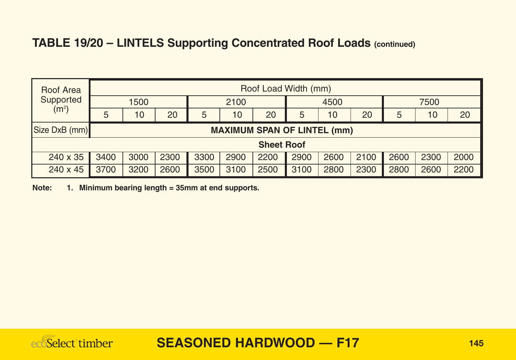## **TABLE 19/20 – LINTELS Supporting Concentrated Roof Loads (continued)**

| Roof Area         |      | Roof Load Width (mm)               |      |      |      |                   |      |      |      |      |      |      |
|-------------------|------|------------------------------------|------|------|------|-------------------|------|------|------|------|------|------|
| Supported         |      | 1500                               |      |      | 2100 |                   | 4500 |      |      | 7500 |      |      |
| (m <sup>2</sup> ) | 5    | 10                                 | 20   | 5    | 10   | 20                | 5    | 10   | 20   | 5    | 10   | 20   |
| Size DxB (mm)     |      | <b>MAXIMUM SPAN OF LINTEL (mm)</b> |      |      |      |                   |      |      |      |      |      |      |
|                   |      |                                    |      |      |      | <b>Sheet Roof</b> |      |      |      |      |      |      |
| 240 x 35          | 3400 | 3000                               | 2300 | 3300 | 2900 | 2200              | 2900 | 2600 | 2100 | 2600 | 2300 | 2000 |
| $240 \times 45$   | 3700 | 3200                               | 2600 | 3500 | 3100 | 2500              | 3100 | 2800 | 2300 | 2800 | 2600 | 2200 |

**Note: 1. Minimum bearing length = 35mm at end supports.**

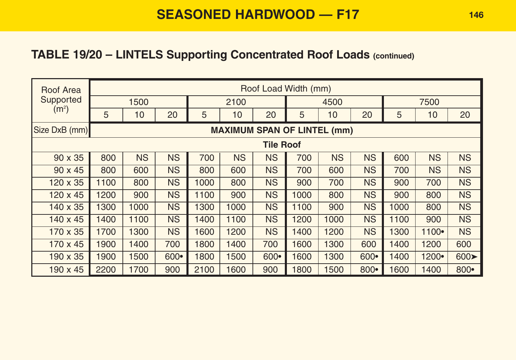## **TABLE 19/20 – LINTELS Supporting Concentrated Roof Loads (continued)**

| Roof Area         |      |           |           |      |                                    | Roof Load Width (mm) |      |           |           |      |           |                           |
|-------------------|------|-----------|-----------|------|------------------------------------|----------------------|------|-----------|-----------|------|-----------|---------------------------|
| Supported         |      | 1500      |           |      | 2100                               |                      |      | 4500      |           |      | 7500      |                           |
| (m <sup>2</sup> ) | 5    | 10        | 20        | 5    | 10                                 | 20                   | 5    | 10        | 20        | 5    | 10        | 20                        |
| Size DxB (mm)     |      |           |           |      | <b>MAXIMUM SPAN OF LINTEL (mm)</b> |                      |      |           |           |      |           |                           |
|                   |      |           |           |      |                                    | <b>Tile Roof</b>     |      |           |           |      |           |                           |
| $90 \times 35$    | 800  | <b>NS</b> | <b>NS</b> | 700  | <b>NS</b>                          | <b>NS</b>            | 700  | <b>NS</b> | <b>NS</b> | 600  | <b>NS</b> | <b>NS</b>                 |
| $90 \times 45$    | 800  | 600       | <b>NS</b> | 800  | 600                                | <b>NS</b>            | 700  | 600       | <b>NS</b> | 700  | <b>NS</b> | <b>NS</b>                 |
| 120 x 35          | 1100 | 800       | <b>NS</b> | 1000 | 800                                | <b>NS</b>            | 900  | 700       | <b>NS</b> | 900  | 700       | <b>NS</b>                 |
| $120 \times 45$   | 1200 | 900       | <b>NS</b> | 1100 | 900                                | <b>NS</b>            | 1000 | 800       | <b>NS</b> | 900  | 800       | <b>NS</b>                 |
| 140 x 35          | 1300 | 1000      | <b>NS</b> | 1300 | 1000                               | <b>NS</b>            | 1100 | 900       | <b>NS</b> | 1000 | 800       | <b>NS</b>                 |
| 140 x 45          | 1400 | 1100      | <b>NS</b> | 1400 | 1100                               | <b>NS</b>            | 1200 | 1000      | <b>NS</b> | 1100 | 900       | <b>NS</b>                 |
| 170 x 35          | 1700 | 1300      | <b>NS</b> | 1600 | 1200                               | <b>NS</b>            | 1400 | 1200      | <b>NS</b> | 1300 | 1100•     | <b>NS</b>                 |
| 170 x 45          | 1900 | 1400      | 700       | 1800 | 1400                               | 700                  | 1600 | 1300      | 600       | 1400 | 1200      | 600                       |
| 190 x 35          | 1900 | 1500      | $600 -$   | 1800 | 1500                               | $600 -$              | 1600 | 1300      | $600 -$   | 1400 | 1200•     | $600 \blacktriangleright$ |
| $190 \times 45$   | 2200 | 1700      | 900       | 2100 | 1600                               | 900                  | 1800 | 1500      | $800 -$   | 1600 | 1400      | 800•                      |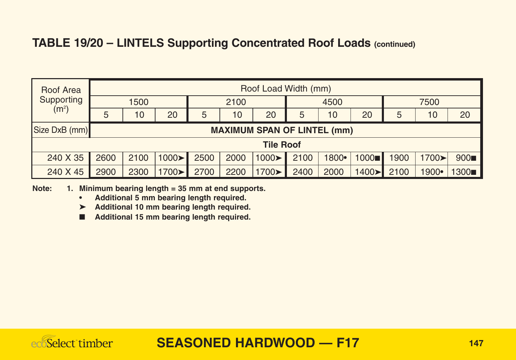#### **TABLE 19/20 – LINTELS Supporting Concentrated Roof Loads (continued)**

| Roof Area         | Roof Load Width (mm) |                                                       |               |      |      |                            |      |       |       |      |                       |      |
|-------------------|----------------------|-------------------------------------------------------|---------------|------|------|----------------------------|------|-------|-------|------|-----------------------|------|
| Supporting        |                      | 1500                                                  |               | 2100 |      |                            | 4500 |       |       | 7500 |                       |      |
| (m <sup>2</sup> ) | 5                    | 20<br>20<br>5<br>10<br>20<br>10<br>10<br>10<br>5<br>5 |               |      |      |                            |      |       |       | 20   |                       |      |
| Size DxB (mm)     |                      | <b>MAXIMUM SPAN OF LINTEL (mm)</b>                    |               |      |      |                            |      |       |       |      |                       |      |
|                   |                      |                                                       |               |      |      | <b>Tile Roof</b>           |      |       |       |      |                       |      |
| 240 X 35          | 2600                 | 2100                                                  | $1000 \geq 1$ | 2500 | 2000 | $1000 \blacktriangleright$ | 2100 | 1800• | 1000  | 1900 | $1700 \triangleright$ | 900  |
| 240 X 45          | 2900                 | 2300                                                  | 1700>         | 2700 | 2200 | 1700>                      | 2400 | 2000  | 1400> | 2100 | 1900•                 | 1300 |

**Note: 1. Minimum bearing length = 35 mm at end supports.**

- **Additional 5 mm bearing length required.**
- ➤ **Additional 10 mm bearing length required.**
- **Additional 15 mm bearing length required.**

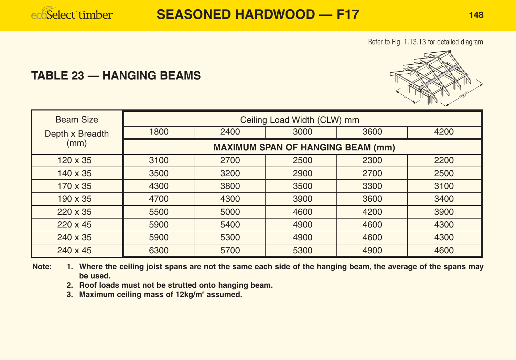

Refer to Fig. 1.13.13 for detailed diagram

#### **TABLE 23 — HANGING BEAMS**



| <b>Beam Size</b> |                                          |      | Ceiling Load Width (CLW) mm |      |      |  |  |  |  |  |
|------------------|------------------------------------------|------|-----------------------------|------|------|--|--|--|--|--|
| Depth x Breadth  | 1800                                     | 2400 | 3000                        | 3600 | 4200 |  |  |  |  |  |
| (mm)             | <b>MAXIMUM SPAN OF HANGING BEAM (mm)</b> |      |                             |      |      |  |  |  |  |  |
| $120 \times 35$  | 3100                                     | 2700 | 2500                        | 2300 | 2200 |  |  |  |  |  |
| 140 x 35         | 3500                                     | 3200 | 2900                        | 2700 | 2500 |  |  |  |  |  |
| 170 x 35         | 4300                                     | 3800 | 3500                        | 3300 | 3100 |  |  |  |  |  |
| $190 \times 35$  | 4700                                     | 4300 | 3900                        | 3600 | 3400 |  |  |  |  |  |
| $220 \times 35$  | 5500                                     | 5000 | 4600                        | 4200 | 3900 |  |  |  |  |  |
| $220 \times 45$  | 5900                                     | 5400 | 4900                        | 4600 | 4300 |  |  |  |  |  |
| 240 x 35         | 5900                                     | 5300 | 4900                        | 4600 | 4300 |  |  |  |  |  |
| 240 x 45         | 6300                                     | 5700 | 5300                        | 4900 | 4600 |  |  |  |  |  |

**Note: 1. Where the ceiling joist spans are not the same each side of the hanging beam, the average of the spans may be used.**

**2. Roof loads must not be strutted onto hanging beam.**

**3. Maximum ceiling mass of 12kg/m2 assumed.**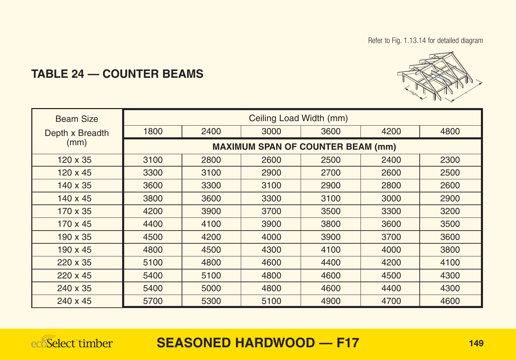Refer to Fig. 1.13.14 for detailed diagram



## **TABLE 24 — COUNTER BEAMS**

| <b>Beam Size</b> |      |      | Ceiling Load Width (mm)                  |      |      |      |
|------------------|------|------|------------------------------------------|------|------|------|
| Depth x Breadth  | 1800 | 2400 | 3000                                     | 3600 | 4200 | 4800 |
| (mm)             |      |      | <b>MAXIMUM SPAN OF COUNTER BEAM (mm)</b> |      |      |      |
| $120 \times 35$  | 3100 | 2800 | 2600                                     | 2500 | 2400 | 2300 |
| $120 \times 45$  | 3300 | 3100 | 2900                                     | 2700 | 2600 | 2500 |
| $140 \times 35$  | 3600 | 3300 | 3100                                     | 2900 | 2800 | 2600 |
| $140 \times 45$  | 3800 | 3600 | 3300                                     | 3100 | 3000 | 2900 |
| 170 x 35         | 4200 | 3900 | 3700                                     | 3500 | 3300 | 3200 |
| $170 \times 45$  | 4400 | 4100 | 3900                                     | 3800 | 3600 | 3500 |
| $190 \times 35$  | 4500 | 4200 | 4000                                     | 3900 | 3700 | 3600 |
| $190 \times 45$  | 4800 | 4500 | 4300                                     | 4100 | 4000 | 3800 |
| $220 \times 35$  | 5100 | 4800 | 4600                                     | 4400 | 4200 | 4100 |
| $220 \times 45$  | 5400 | 5100 | 4800                                     | 4600 | 4500 | 4300 |
| 240 x 35         | 5400 | 5000 | 4800                                     | 4600 | 4400 | 4300 |
| $240 \times 45$  | 5700 | 5300 | 5100                                     | 4900 | 4700 | 4600 |

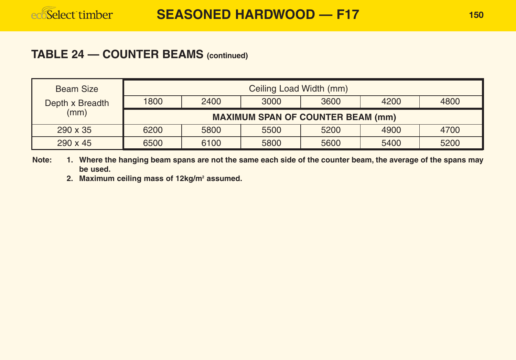#### **TABLE 24 — COUNTER BEAMS (continued)**

| <b>Beam Size</b> |                                              | Ceiling Load Width (mm)                  |      |      |      |      |  |  |  |  |  |
|------------------|----------------------------------------------|------------------------------------------|------|------|------|------|--|--|--|--|--|
| Depth x Breadth  | 1800<br>2400<br>3600<br>4200<br>4800<br>3000 |                                          |      |      |      |      |  |  |  |  |  |
| (mm)             |                                              | <b>MAXIMUM SPAN OF COUNTER BEAM (mm)</b> |      |      |      |      |  |  |  |  |  |
| $290 \times 35$  | 6200                                         | 5800                                     | 5500 | 5200 | 4900 | 4700 |  |  |  |  |  |
| $290 \times 45$  | 6500                                         | 6100                                     | 5800 | 5600 | 5400 | 5200 |  |  |  |  |  |

**Note: 1. Where the hanging beam spans are not the same each side of the counter beam, the average of the spans may be used.**

**2. Maximum ceiling mass of 12kg/m2 assumed.**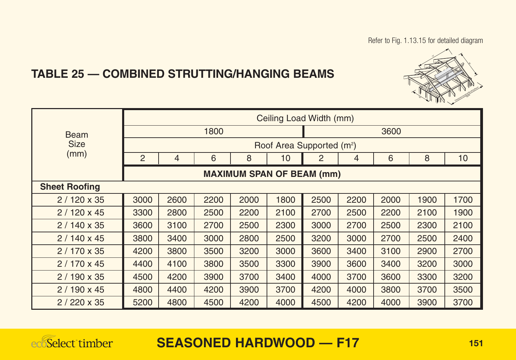Refer to Fig. 1.13.15 for detailed diagram



## **TABLE 25 — COMBINED STRUTTING/HANGING BEAMS**

|                      |                |                                  |      |      |      | Ceiling Load Width (mm)               |      |      |      |      |  |
|----------------------|----------------|----------------------------------|------|------|------|---------------------------------------|------|------|------|------|--|
| <b>Beam</b>          |                |                                  | 1800 |      | 3600 |                                       |      |      |      |      |  |
| <b>Size</b>          |                |                                  |      |      |      | Roof Area Supported (m <sup>2</sup> ) |      |      |      |      |  |
| (mm)                 | $\overline{2}$ | 4                                | 6    | 8    | 10   | 2                                     | 4    | 6    | 8    | 10   |  |
|                      |                | <b>MAXIMUM SPAN OF BEAM (mm)</b> |      |      |      |                                       |      |      |      |      |  |
| <b>Sheet Roofing</b> |                |                                  |      |      |      |                                       |      |      |      |      |  |
| $2/120 \times 35$    | 3000           | 2600                             | 2200 | 2000 | 1800 | 2500                                  | 2200 | 2000 | 1900 | 1700 |  |
| $2/120 \times 45$    | 3300           | 2800                             | 2500 | 2200 | 2100 | 2700                                  | 2500 | 2200 | 2100 | 1900 |  |
| $2/140 \times 35$    | 3600           | 3100                             | 2700 | 2500 | 2300 | 3000                                  | 2700 | 2500 | 2300 | 2100 |  |
| $2/140 \times 45$    | 3800           | 3400                             | 3000 | 2800 | 2500 | 3200                                  | 3000 | 2700 | 2500 | 2400 |  |
| $2/170 \times 35$    | 4200           | 3800                             | 3500 | 3200 | 3000 | 3600                                  | 3400 | 3100 | 2900 | 2700 |  |
| $2/170 \times 45$    | 4400           | 4100                             | 3800 | 3500 | 3300 | 3900                                  | 3600 | 3400 | 3200 | 3000 |  |
| $2/190 \times 35$    | 4500           | 4200                             | 3900 | 3700 | 3400 | 4000                                  | 3700 | 3600 | 3300 | 3200 |  |
| $2/190 \times 45$    | 4800           | 4400                             | 4200 | 3900 | 3700 | 4200                                  | 4000 | 3800 | 3700 | 3500 |  |
| $2/220 \times 35$    | 5200           | 4800                             | 4500 | 4200 | 4000 | 4500                                  | 4200 | 4000 | 3900 | 3700 |  |

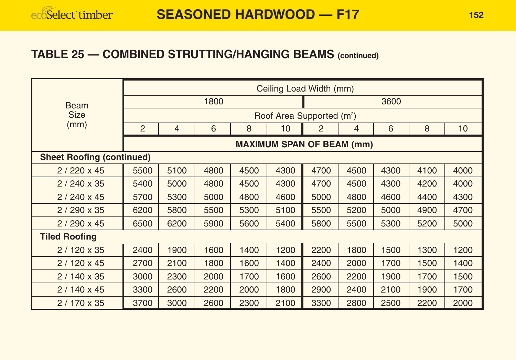#### **TABLE 25 — COMBINED STRUTTING/HANGING BEAMS (continued)**

|                                  |                |      |      |      |      | Ceiling Load Width (mm)               |                |      |      |      |  |
|----------------------------------|----------------|------|------|------|------|---------------------------------------|----------------|------|------|------|--|
| <b>Beam</b>                      | 1800           |      |      |      |      |                                       |                | 3600 |      |      |  |
| <b>Size</b>                      |                |      |      |      |      | Roof Area Supported (m <sup>2</sup> ) |                |      |      |      |  |
| (mm)                             | $\overline{2}$ | 4    | 6    | 8    | 10   | 2                                     | $\overline{4}$ | 6    | 8    | 10   |  |
|                                  |                |      |      |      |      | <b>MAXIMUM SPAN OF BEAM (mm)</b>      |                |      |      |      |  |
| <b>Sheet Roofing (continued)</b> |                |      |      |      |      |                                       |                |      |      |      |  |
| $2/220 \times 45$                | 5500           | 5100 | 4800 | 4500 | 4300 | 4700                                  | 4500           | 4300 | 4100 | 4000 |  |
| $2/240 \times 35$                | 5400           | 5000 | 4800 | 4500 | 4300 | 4700                                  | 4500           | 4300 | 4200 | 4000 |  |
| $2/240 \times 45$                | 5700           | 5300 | 5000 | 4800 | 4600 | 5000                                  | 4800           | 4600 | 4400 | 4300 |  |
| $2/290 \times 35$                | 6200           | 5800 | 5500 | 5300 | 5100 | 5500                                  | 5200           | 5000 | 4900 | 4700 |  |
| $2/290 \times 45$                | 6500           | 6200 | 5900 | 5600 | 5400 | 5800                                  | 5500           | 5300 | 5200 | 5000 |  |
| <b>Tiled Roofing</b>             |                |      |      |      |      |                                       |                |      |      |      |  |
| $2/120 \times 35$                | 2400           | 1900 | 1600 | 1400 | 1200 | 2200                                  | 1800           | 1500 | 1300 | 1200 |  |
| $2/120 \times 45$                | 2700           | 2100 | 1800 | 1600 | 1400 | 2400                                  | 2000           | 1700 | 1500 | 1400 |  |
| $2/140 \times 35$                | 3000           | 2300 | 2000 | 1700 | 1600 | 2600                                  | 2200           | 1900 | 1700 | 1500 |  |
| $2/140 \times 45$                | 3300           | 2600 | 2200 | 2000 | 1800 | 2900                                  | 2400           | 2100 | 1900 | 1700 |  |
| $2/170 \times 35$                | 3700           | 3000 | 2600 | 2300 | 2100 | 3300                                  | 2800           | 2500 | 2200 | 2000 |  |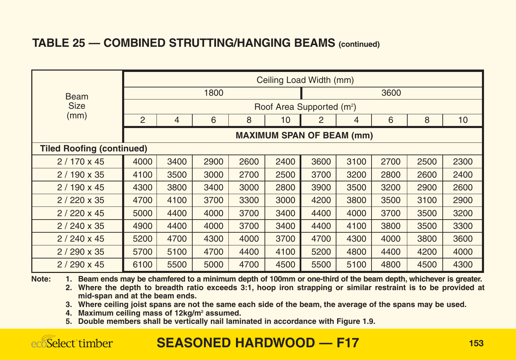#### **TABLE 25 — COMBINED STRUTTING/HANGING BEAMS (continued)**

|                                  |                |                                  |      |      |      | Ceiling Load Width (mm)               |      |      |      |                 |  |
|----------------------------------|----------------|----------------------------------|------|------|------|---------------------------------------|------|------|------|-----------------|--|
| <b>Beam</b>                      | 1800           |                                  |      |      |      |                                       |      | 3600 |      |                 |  |
| <b>Size</b>                      |                |                                  |      |      |      | Roof Area Supported (m <sup>2</sup> ) |      |      |      |                 |  |
| (mm)                             | $\overline{2}$ | 4                                | 6    | 8    | 10   | $\overline{2}$                        | 4    | 6    | 8    | 10 <sup>1</sup> |  |
|                                  |                | <b>MAXIMUM SPAN OF BEAM (mm)</b> |      |      |      |                                       |      |      |      |                 |  |
| <b>Tiled Roofing (continued)</b> |                |                                  |      |      |      |                                       |      |      |      |                 |  |
| $2/170 \times 45$                | 4000           | 3400                             | 2900 | 2600 | 2400 | 3600                                  | 3100 | 2700 | 2500 | 2300            |  |
| $2/190 \times 35$                | 4100           | 3500                             | 3000 | 2700 | 2500 | 3700                                  | 3200 | 2800 | 2600 | 2400            |  |
| $2/190 \times 45$                | 4300           | 3800                             | 3400 | 3000 | 2800 | 3900                                  | 3500 | 3200 | 2900 | 2600            |  |
| $2/220 \times 35$                | 4700           | 4100                             | 3700 | 3300 | 3000 | 4200                                  | 3800 | 3500 | 3100 | 2900            |  |
| $2/220 \times 45$                | 5000           | 4400                             | 4000 | 3700 | 3400 | 4400                                  | 4000 | 3700 | 3500 | 3200            |  |
| $2/240 \times 35$                | 4900           | 4400                             | 4000 | 3700 | 3400 | 4400                                  | 4100 | 3800 | 3500 | 3300            |  |
| $2/240 \times 45$                | 5200           | 4700                             | 4300 | 4000 | 3700 | 4700                                  | 4300 | 4000 | 3800 | 3600            |  |
| $2/290 \times 35$                | 5700           | 5100                             | 4700 | 4400 | 4100 | 5200                                  | 4800 | 4400 | 4200 | 4000            |  |
| $2/290 \times 45$                | 6100           | 5500                             | 5000 | 4700 | 4500 | 5500                                  | 5100 | 4800 | 4500 | 4300            |  |

**Note: 1. Beam ends may be chamfered to a minimum depth of 100mm or one-third of the beam depth, whichever is greater.**

**2. Where the depth to breadth ratio exceeds 3:1, hoop iron strapping or similar restraint is to be provided at mid-span and at the beam ends.**

**3. Where ceiling joist spans are not the same each side of the beam, the average of the spans may be used.**

**4. Maximum ceiling mass of 12kg/m2 assumed.**

**5. Double members shall be vertically nail laminated in accordance with Figure 1.9.**

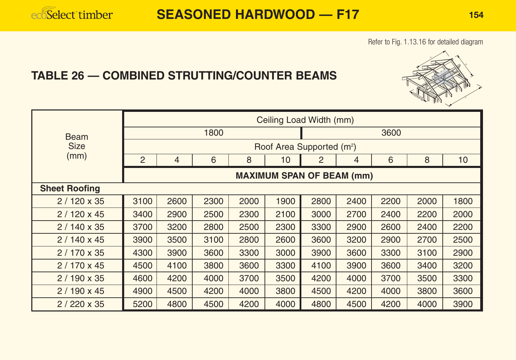#### Refer to Fig. 1.13.16 for detailed diagram

### **TABLE 26 — COMBINED STRUTTING/COUNTER BEAMS**

|                      |                |      |      |      |      | Ceiling Load Width (mm)               |      |      |      |      |
|----------------------|----------------|------|------|------|------|---------------------------------------|------|------|------|------|
| <b>Beam</b>          |                |      | 1800 |      |      |                                       |      | 3600 |      |      |
| <b>Size</b>          |                |      |      |      |      | Roof Area Supported (m <sup>2</sup> ) |      |      |      |      |
| (mm)                 | $\overline{2}$ | 4    | 6    | 8    | 10   | 2                                     | 4    | 6    | 8    | 10   |
|                      |                |      |      |      |      | <b>MAXIMUM SPAN OF BEAM (mm)</b>      |      |      |      |      |
| <b>Sheet Roofing</b> |                |      |      |      |      |                                       |      |      |      |      |
| $2/120 \times 35$    | 3100           | 2600 | 2300 | 2000 | 1900 | 2800                                  | 2400 | 2200 | 2000 | 1800 |
| $2/120 \times 45$    | 3400           | 2900 | 2500 | 2300 | 2100 | 3000                                  | 2700 | 2400 | 2200 | 2000 |
| $2/140 \times 35$    | 3700           | 3200 | 2800 | 2500 | 2300 | 3300                                  | 2900 | 2600 | 2400 | 2200 |
| $2/140 \times 45$    | 3900           | 3500 | 3100 | 2800 | 2600 | 3600                                  | 3200 | 2900 | 2700 | 2500 |
| $2/170 \times 35$    | 4300           | 3900 | 3600 | 3300 | 3000 | 3900                                  | 3600 | 3300 | 3100 | 2900 |
| $2/170 \times 45$    | 4500           | 4100 | 3800 | 3600 | 3300 | 4100                                  | 3900 | 3600 | 3400 | 3200 |
| $2/190 \times 35$    | 4600           | 4200 | 4000 | 3700 | 3500 | 4200                                  | 4000 | 3700 | 3500 | 3300 |
| $2/190 \times 45$    | 4900           | 4500 | 4200 | 4000 | 3800 | 4500                                  | 4200 | 4000 | 3800 | 3600 |
| $2/220 \times 35$    | 5200           | 4800 | 4500 | 4200 | 4000 | 4800                                  | 4500 | 4200 | 4000 | 3900 |

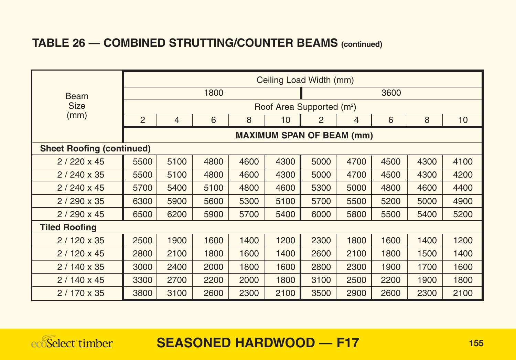## **TABLE 26 — COMBINED STRUTTING/COUNTER BEAMS (continued)**

|                                  |                                       |                                  |      |      |      | Ceiling Load Width (mm) |                |      |      |      |  |
|----------------------------------|---------------------------------------|----------------------------------|------|------|------|-------------------------|----------------|------|------|------|--|
| <b>Beam</b>                      | 1800                                  |                                  |      |      |      |                         |                | 3600 |      |      |  |
| <b>Size</b>                      | Roof Area Supported (m <sup>2</sup> ) |                                  |      |      |      |                         |                |      |      |      |  |
| (mm)                             | $\overline{2}$                        | 4                                | 6    | 8    | 10   | 2                       | $\overline{4}$ | 6    | 8    | 10   |  |
|                                  |                                       | <b>MAXIMUM SPAN OF BEAM (mm)</b> |      |      |      |                         |                |      |      |      |  |
| <b>Sheet Roofing (continued)</b> |                                       |                                  |      |      |      |                         |                |      |      |      |  |
| $2/220 \times 45$                | 5500                                  | 5100                             | 4800 | 4600 | 4300 | 5000                    | 4700           | 4500 | 4300 | 4100 |  |
| $2/240 \times 35$                | 5500                                  | 5100                             | 4800 | 4600 | 4300 | 5000                    | 4700           | 4500 | 4300 | 4200 |  |
| $2/240 \times 45$                | 5700                                  | 5400                             | 5100 | 4800 | 4600 | 5300                    | 5000           | 4800 | 4600 | 4400 |  |
| $2/290 \times 35$                | 6300                                  | 5900                             | 5600 | 5300 | 5100 | 5700                    | 5500           | 5200 | 5000 | 4900 |  |
| $2/290 \times 45$                | 6500                                  | 6200                             | 5900 | 5700 | 5400 | 6000                    | 5800           | 5500 | 5400 | 5200 |  |
| <b>Tiled Roofing</b>             |                                       |                                  |      |      |      |                         |                |      |      |      |  |
| $2/120 \times 35$                | 2500                                  | 1900                             | 1600 | 1400 | 1200 | 2300                    | 1800           | 1600 | 1400 | 1200 |  |
| $2/120 \times 45$                | 2800                                  | 2100                             | 1800 | 1600 | 1400 | 2600                    | 2100           | 1800 | 1500 | 1400 |  |
| $2/140 \times 35$                | 3000                                  | 2400                             | 2000 | 1800 | 1600 | 2800                    | 2300           | 1900 | 1700 | 1600 |  |
| $2/140 \times 45$                | 3300                                  | 2700                             | 2200 | 2000 | 1800 | 3100                    | 2500           | 2200 | 1900 | 1800 |  |
| $2/170 \times 35$                | 3800                                  | 3100                             | 2600 | 2300 | 2100 | 3500                    | 2900           | 2600 | 2300 | 2100 |  |

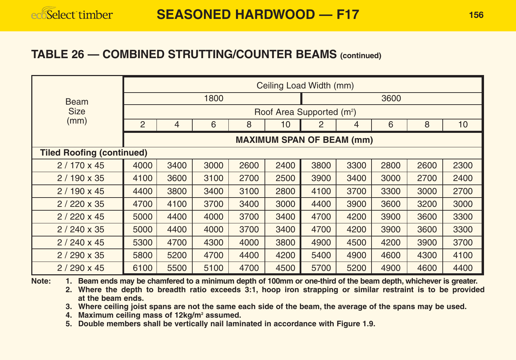#### **TABLE 26 — COMBINED STRUTTING/COUNTER BEAMS (continued)**

|                                  |                |                                  |      |      |      | Ceiling Load Width (mm)               |      |      |      |      |  |
|----------------------------------|----------------|----------------------------------|------|------|------|---------------------------------------|------|------|------|------|--|
| <b>Beam</b>                      |                |                                  | 1800 |      |      |                                       |      | 3600 |      |      |  |
| <b>Size</b>                      |                |                                  |      |      |      | Roof Area Supported (m <sup>2</sup> ) |      |      |      |      |  |
| (mm)                             | $\overline{2}$ | $\overline{4}$                   | 6    | 8    | 10   | 2                                     | 4    | 6    | 8    | 10   |  |
|                                  |                | <b>MAXIMUM SPAN OF BEAM (mm)</b> |      |      |      |                                       |      |      |      |      |  |
| <b>Tiled Roofing (continued)</b> |                |                                  |      |      |      |                                       |      |      |      |      |  |
| $2/170 \times 45$                | 4000           | 3400                             | 3000 | 2600 | 2400 | 3800                                  | 3300 | 2800 | 2600 | 2300 |  |
| $2/190 \times 35$                | 4100           | 3600                             | 3100 | 2700 | 2500 | 3900                                  | 3400 | 3000 | 2700 | 2400 |  |
| $2/190 \times 45$                | 4400           | 3800                             | 3400 | 3100 | 2800 | 4100                                  | 3700 | 3300 | 3000 | 2700 |  |
| $2/220 \times 35$                | 4700           | 4100                             | 3700 | 3400 | 3000 | 4400                                  | 3900 | 3600 | 3200 | 3000 |  |
| $2/220 \times 45$                | 5000           | 4400                             | 4000 | 3700 | 3400 | 4700                                  | 4200 | 3900 | 3600 | 3300 |  |
| $2/240 \times 35$                | 5000           | 4400                             | 4000 | 3700 | 3400 | 4700                                  | 4200 | 3900 | 3600 | 3300 |  |
| $2/240 \times 45$                | 5300           | 4700                             | 4300 | 4000 | 3800 | 4900                                  | 4500 | 4200 | 3900 | 3700 |  |
| $2/290 \times 35$                | 5800           | 5200                             | 4700 | 4400 | 4200 | 5400                                  | 4900 | 4600 | 4300 | 4100 |  |
| $2/290 \times 45$                | 6100           | 5500                             | 5100 | 4700 | 4500 | 5700                                  | 5200 | 4900 | 4600 | 4400 |  |

**Note: 1. Beam ends may be chamfered to a minimum depth of 100mm or one-third of the beam depth, whichever is greater.**

**2. Where the depth to breadth ratio exceeds 3:1, hoop iron strapping or similar restraint is to be provided at the beam ends.**

**3. Where ceiling joist spans are not the same each side of the beam, the average of the spans may be used.**

**4. Maximum ceiling mass of 12kg/m2 assumed.**

**5. Double members shall be vertically nail laminated in accordance with Figure 1.9.**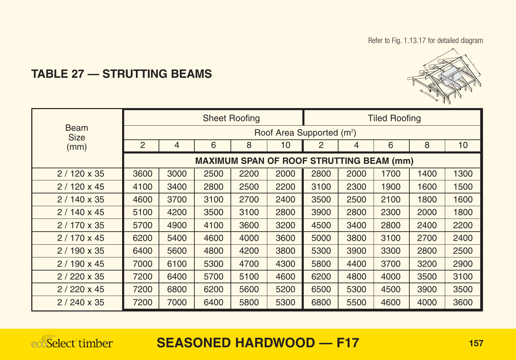Refer to Fig. 1.13.17 for detailed diagram



## **TABLE 27 — STRUTTING BEAMS**

|                            |                                                                      |      |      | <b>Sheet Roofing</b>                            |      |                                       |      | <b>Tiled Roofing</b> |      |      |
|----------------------------|----------------------------------------------------------------------|------|------|-------------------------------------------------|------|---------------------------------------|------|----------------------|------|------|
| <b>Beam</b><br><b>Size</b> |                                                                      |      |      |                                                 |      | Roof Area Supported (m <sup>2</sup> ) |      |                      |      |      |
| (mm)                       | 6<br>8<br>2<br>6<br>8<br>$\overline{2}$<br>$\overline{4}$<br>10<br>4 |      |      |                                                 |      |                                       |      |                      |      | 10   |
|                            |                                                                      |      |      | <b>MAXIMUM SPAN OF ROOF STRUTTING BEAM (mm)</b> |      |                                       |      |                      |      |      |
| $2/120 \times 35$          | 3600                                                                 | 3000 | 2500 | 2200                                            | 2000 | 2800                                  | 2000 | 1700                 | 1400 | 1300 |
| $2/120 \times 45$          | 4100                                                                 | 3400 | 2800 | 2500                                            | 2200 | 3100                                  | 2300 | 1900                 | 1600 | 1500 |
| $2/140 \times 35$          | 4600                                                                 | 3700 | 3100 | 2700                                            | 2400 | 3500                                  | 2500 | 2100                 | 1800 | 1600 |
| $2/140 \times 45$          | 5100                                                                 | 4200 | 3500 | 3100                                            | 2800 | 3900                                  | 2800 | 2300                 | 2000 | 1800 |
| $2/170 \times 35$          | 5700                                                                 | 4900 | 4100 | 3600                                            | 3200 | 4500                                  | 3400 | 2800                 | 2400 | 2200 |
| $2/170 \times 45$          | 6200                                                                 | 5400 | 4600 | 4000                                            | 3600 | 5000                                  | 3800 | 3100                 | 2700 | 2400 |
| $2/190 \times 35$          | 6400                                                                 | 5600 | 4800 | 4200                                            | 3800 | 5300                                  | 3900 | 3300                 | 2800 | 2500 |
| $2/190 \times 45$          | 7000                                                                 | 6100 | 5300 | 4700                                            | 4300 | 5800                                  | 4400 | 3700                 | 3200 | 2900 |
| $2/220 \times 35$          | 7200                                                                 | 6400 | 5700 | 5100                                            | 4600 | 6200                                  | 4800 | 4000                 | 3500 | 3100 |
| $2/220 \times 45$          | 7200                                                                 | 6800 | 6200 | 5600                                            | 5200 | 6500                                  | 5300 | 4500                 | 3900 | 3500 |
| $2/240 \times 35$          | 7200                                                                 | 7000 | 6400 | 5800                                            | 5300 | 6800                                  | 5500 | 4600                 | 4000 | 3600 |

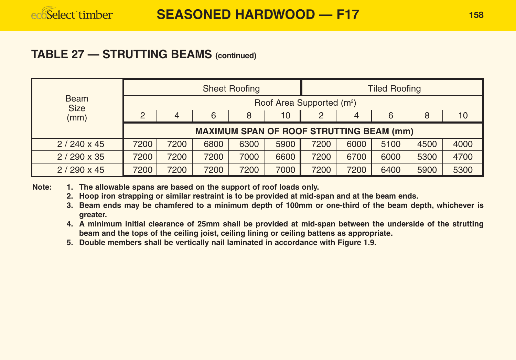#### **TABLE 27 — STRUTTING BEAMS (continued)**

|                            |                                                 |                                  |      | <b>Sheet Roofing</b> |      |                                       |      | <b>Tiled Roofing</b> |      |      |
|----------------------------|-------------------------------------------------|----------------------------------|------|----------------------|------|---------------------------------------|------|----------------------|------|------|
| <b>Beam</b><br><b>Size</b> |                                                 |                                  |      |                      |      | Roof Area Supported (m <sup>2</sup> ) |      |                      |      |      |
| (mm)                       | 2                                               | 6<br>10<br>6<br>8<br>8<br>2<br>4 |      |                      |      |                                       |      |                      | 10   |      |
|                            | <b>MAXIMUM SPAN OF ROOF STRUTTING BEAM (mm)</b> |                                  |      |                      |      |                                       |      |                      |      |      |
| $2/240 \times 45$          | 7200                                            | 7200                             | 6800 | 6300                 | 5900 | 7200                                  | 6000 | 5100                 | 4500 | 4000 |
| $2/290 \times 35$          | 7200                                            | 7200                             | 7200 | 7000                 | 6600 | 7200                                  | 6700 | 6000                 | 5300 | 4700 |
| $2/290 \times 45$          | 7200                                            | 7200                             | 7200 | 7200                 | 7000 | 7200                                  | 7200 | 6400                 | 5900 | 5300 |

**Note: 1. The allowable spans are based on the support of roof loads only.**

- **2. Hoop iron strapping or similar restraint is to be provided at mid-span and at the beam ends.**
- **3. Beam ends may be chamfered to a minimum depth of 100mm or one-third of the beam depth, whichever is greater.**
- **4. A minimum initial clearance of 25mm shall be provided at mid-span between the underside of the strutting beam and the tops of the ceiling joist, ceiling lining or ceiling battens as appropriate.**
- **5. Double members shall be vertically nail laminated in accordance with Figure 1.9.**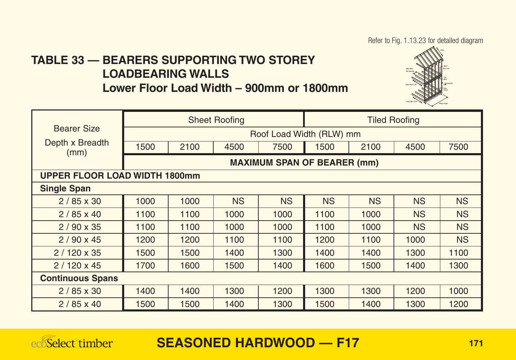Refer to Fig. 1.13.23 for detailed diagram

## **TABLE 33 — BEARERS SUPPORTING TWO STOREY LOADBEARING WALLS**

**Lower Floor Load Width – 900mm or 1800mm**



|                                      |                          |      | <b>Sheet Roofing</b> |                                    |           | <b>Tiled Roofing</b> |           |           |  |  |  |
|--------------------------------------|--------------------------|------|----------------------|------------------------------------|-----------|----------------------|-----------|-----------|--|--|--|
| <b>Bearer Size</b>                   | Roof Load Width (RLW) mm |      |                      |                                    |           |                      |           |           |  |  |  |
| Depth x Breadth<br>(mm)              | 1500                     | 2100 | 4500                 | 7500                               | 1500      | 2100                 | 4500      | 7500      |  |  |  |
|                                      |                          |      |                      | <b>MAXIMUM SPAN OF BEARER (mm)</b> |           |                      |           |           |  |  |  |
| <b>UPPER FLOOR LOAD WIDTH 1800mm</b> |                          |      |                      |                                    |           |                      |           |           |  |  |  |
| <b>Single Span</b>                   |                          |      |                      |                                    |           |                      |           |           |  |  |  |
| $2/85 \times 30$                     | 1000                     | 1000 | <b>NS</b>            | <b>NS</b>                          | <b>NS</b> | <b>NS</b>            | <b>NS</b> | <b>NS</b> |  |  |  |
| $2/85 \times 40$                     | 1100                     | 1100 | 1000                 | 1000                               | 1100      | 1000                 | <b>NS</b> | <b>NS</b> |  |  |  |
| $2/90 \times 35$                     | 1100                     | 1100 | 1000                 | 1000                               | 1100      | 1000                 | <b>NS</b> | <b>NS</b> |  |  |  |
| $2/90 \times 45$                     | 1200                     | 1200 | 1100                 | 1100                               | 1200      | 1100                 | 1000      | <b>NS</b> |  |  |  |
| $2/120 \times 35$                    | 1500                     | 1500 | 1400                 | 1300                               | 1400      | 1400                 | 1300      | 1100      |  |  |  |
| $2/120 \times 45$                    | 1700                     | 1600 | 1500                 | 1400                               | 1600      | 1500                 | 1400      | 1300      |  |  |  |
| <b>Continuous Spans</b>              |                          |      |                      |                                    |           |                      |           |           |  |  |  |
| $2/85 \times 30$                     | 1400                     | 1400 | 1300                 | 1200                               | 1300      | 1300                 | 1200      | 1000      |  |  |  |
| $2/85 \times 40$                     | 1500                     | 1500 | 1400                 | 1300                               | 1500      | 1400                 | 1300      | 1200      |  |  |  |

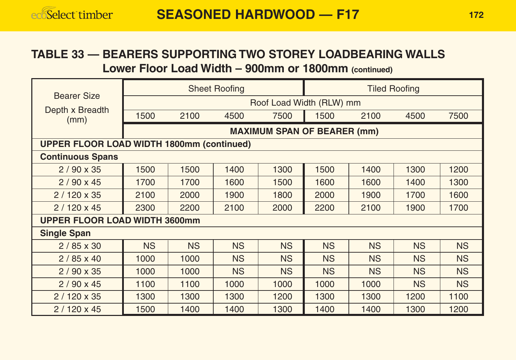#### **TABLE 33 — BEARERS SUPPORTING TWO STOREY LOADBEARING WALLS Lower Floor Load Width – 900mm or 1800mm (continued)**

|                                                  | <b>Sheet Roofing</b>     |           |           |                                    | <b>Tiled Roofing</b> |           |           |           |  |
|--------------------------------------------------|--------------------------|-----------|-----------|------------------------------------|----------------------|-----------|-----------|-----------|--|
| <b>Bearer Size</b>                               | Roof Load Width (RLW) mm |           |           |                                    |                      |           |           |           |  |
| Depth x Breadth<br>(mm)                          | 1500                     | 2100      | 4500      | 7500                               | 1500                 | 2100      | 4500      | 7500      |  |
|                                                  |                          |           |           | <b>MAXIMUM SPAN OF BEARER (mm)</b> |                      |           |           |           |  |
| <b>UPPER FLOOR LOAD WIDTH 1800mm (continued)</b> |                          |           |           |                                    |                      |           |           |           |  |
| <b>Continuous Spans</b>                          |                          |           |           |                                    |                      |           |           |           |  |
| $2/90 \times 35$                                 | 1500                     | 1500      | 1400      | 1300                               | 1500                 | 1400      | 1300      | 1200      |  |
| $2/90 \times 45$                                 | 1700                     | 1700      | 1600      | 1500                               | 1600                 | 1600      | 1400      | 1300      |  |
| $2/120 \times 35$                                | 2100                     | 2000      | 1900      | 1800                               | 2000                 | 1900      | 1700      | 1600      |  |
| $2/120 \times 45$                                | 2300                     | 2200      | 2100      | 2000                               | 2200                 | 2100      | 1900      | 1700      |  |
| UPPER FLOOR LOAD WIDTH 3600mm                    |                          |           |           |                                    |                      |           |           |           |  |
| <b>Single Span</b>                               |                          |           |           |                                    |                      |           |           |           |  |
| $2/85 \times 30$                                 | <b>NS</b>                | <b>NS</b> | <b>NS</b> | <b>NS</b>                          | <b>NS</b>            | <b>NS</b> | <b>NS</b> | <b>NS</b> |  |
| $2/85 \times 40$                                 | 1000                     | 1000      | <b>NS</b> | <b>NS</b>                          | <b>NS</b>            | <b>NS</b> | <b>NS</b> | <b>NS</b> |  |
| $2/90 \times 35$                                 | 1000                     | 1000      | <b>NS</b> | <b>NS</b>                          | <b>NS</b>            | <b>NS</b> | <b>NS</b> | <b>NS</b> |  |
| $2/90 \times 45$                                 | 1100                     | 1100      | 1000      | 1000                               | 1000                 | 1000      | <b>NS</b> | <b>NS</b> |  |
| $2/120 \times 35$                                | 1300                     | 1300      | 1300      | 1200                               | 1300                 | 1300      | 1200      | 1100      |  |
| $2/120 \times 45$                                | 1500                     | 1400      | 1400      | 1300                               | 1400                 | 1400      | 1300      | 1200      |  |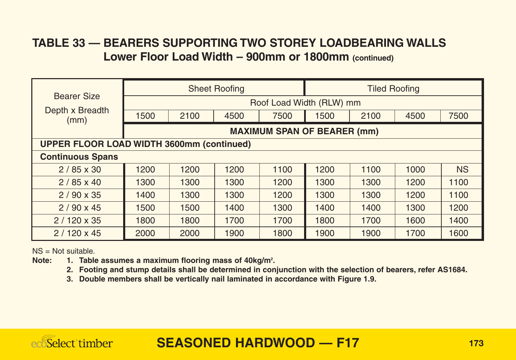#### **TABLE 33 — BEARERS SUPPORTING TWO STOREY LOADBEARING WALLS Lower Floor Load Width – 900mm or 1800mm (continued)**

|                                                  | <b>Sheet Roofing</b>               |      |      |      | <b>Tiled Roofing</b>     |      |      |           |  |
|--------------------------------------------------|------------------------------------|------|------|------|--------------------------|------|------|-----------|--|
| <b>Bearer Size</b>                               |                                    |      |      |      | Roof Load Width (RLW) mm |      |      |           |  |
| Depth x Breadth<br>(mm)                          | 1500                               | 2100 | 4500 | 7500 | 1500                     | 2100 | 4500 | 7500      |  |
|                                                  | <b>MAXIMUM SPAN OF BEARER (mm)</b> |      |      |      |                          |      |      |           |  |
| <b>UPPER FLOOR LOAD WIDTH 3600mm (continued)</b> |                                    |      |      |      |                          |      |      |           |  |
| <b>Continuous Spans</b>                          |                                    |      |      |      |                          |      |      |           |  |
| $2/85 \times 30$                                 | 1200                               | 1200 | 1200 | 1100 | 1200                     | 1100 | 1000 | <b>NS</b> |  |
| $2/85 \times 40$                                 | 1300                               | 1300 | 1300 | 1200 | 1300                     | 1300 | 1200 | 1100      |  |
| $2/90 \times 35$                                 | 1400                               | 1300 | 1300 | 1200 | 1300                     | 1300 | 1200 | 1100      |  |
| $2/90 \times 45$                                 | 1500                               | 1500 | 1400 | 1300 | 1400                     | 1400 | 1300 | 1200      |  |
| $2/120 \times 35$                                | 1800                               | 1800 | 1700 | 1700 | 1800                     | 1700 | 1600 | 1400      |  |
| $2/120 \times 45$                                | 2000                               | 2000 | 1900 | 1800 | 1900                     | 1900 | 1700 | 1600      |  |

 $NS = Not$  suitable.

Note: 1. Table assumes a maximum flooring mass of 40kg/m<sup>2</sup>.

**2. Footing and stump details shall be determined in conjunction with the selection of bearers, refer AS1684.**

**3. Double members shall be vertically nail laminated in accordance with Figure 1.9.**

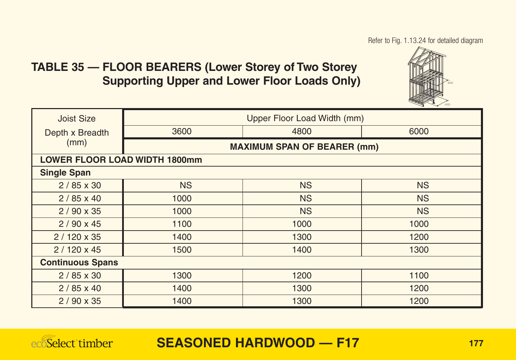Refer to Fig. 1.13.24 for detailed diagram

#### **TABLE 35 — FLOOR BEARERS (Lower Storey of Two Storey Supporting Upper and Lower Floor Loads Only)**



| <b>Joist Size</b>       | Upper Floor Load Width (mm)          |           |           |  |  |  |  |  |  |
|-------------------------|--------------------------------------|-----------|-----------|--|--|--|--|--|--|
| Depth x Breadth         | 3600                                 | 4800      | 6000      |  |  |  |  |  |  |
| (mm)                    | <b>MAXIMUM SPAN OF BEARER (mm)</b>   |           |           |  |  |  |  |  |  |
|                         | <b>LOWER FLOOR LOAD WIDTH 1800mm</b> |           |           |  |  |  |  |  |  |
| <b>Single Span</b>      |                                      |           |           |  |  |  |  |  |  |
| $2/85 \times 30$        | <b>NS</b>                            | <b>NS</b> | <b>NS</b> |  |  |  |  |  |  |
| $2/85 \times 40$        | 1000                                 | <b>NS</b> | <b>NS</b> |  |  |  |  |  |  |
| $2/90 \times 35$        | 1000                                 | <b>NS</b> | <b>NS</b> |  |  |  |  |  |  |
| $2/90 \times 45$        | 1100                                 | 1000      | 1000      |  |  |  |  |  |  |
| $2/120 \times 35$       | 1400                                 | 1300      | 1200      |  |  |  |  |  |  |
| $2/120 \times 45$       | 1500                                 | 1400      | 1300      |  |  |  |  |  |  |
| <b>Continuous Spans</b> |                                      |           |           |  |  |  |  |  |  |
| $2/85 \times 30$        | 1300                                 | 1200      | 1100      |  |  |  |  |  |  |
| $2/85 \times 40$        | 1400                                 | 1300      | 1200      |  |  |  |  |  |  |
| $2/90 \times 35$        | 1400                                 | 1300      | 1200      |  |  |  |  |  |  |

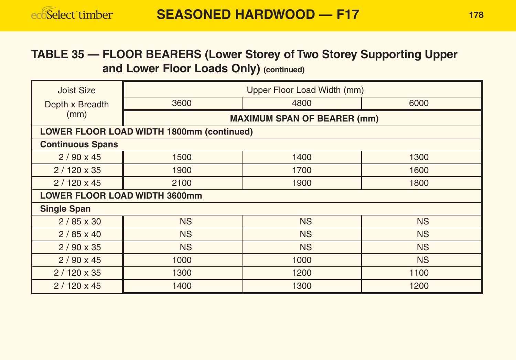#### **TABLE 35 — FLOOR BEARERS (Lower Storey of Two Storey Supporting Upper and Lower Floor Loads Only) (continued)**

| Joist Size                           | Upper Floor Load Width (mm)               |           |           |  |  |  |  |  |  |
|--------------------------------------|-------------------------------------------|-----------|-----------|--|--|--|--|--|--|
| Depth x Breadth                      | 3600                                      | 4800      | 6000      |  |  |  |  |  |  |
| (mm)                                 | <b>MAXIMUM SPAN OF BEARER (mm)</b>        |           |           |  |  |  |  |  |  |
|                                      | LOWER FLOOR LOAD WIDTH 1800mm (continued) |           |           |  |  |  |  |  |  |
| <b>Continuous Spans</b>              |                                           |           |           |  |  |  |  |  |  |
| $2/90 \times 45$                     | 1500                                      | 1400      | 1300      |  |  |  |  |  |  |
| $2/120 \times 35$                    | 1900                                      | 1700      | 1600      |  |  |  |  |  |  |
| $2/120 \times 45$                    | 2100                                      | 1900      | 1800      |  |  |  |  |  |  |
| <b>LOWER FLOOR LOAD WIDTH 3600mm</b> |                                           |           |           |  |  |  |  |  |  |
| <b>Single Span</b>                   |                                           |           |           |  |  |  |  |  |  |
| $2/85 \times 30$                     | <b>NS</b>                                 | <b>NS</b> | <b>NS</b> |  |  |  |  |  |  |
| $2/85 \times 40$                     | <b>NS</b>                                 | <b>NS</b> | <b>NS</b> |  |  |  |  |  |  |
| $2/90 \times 35$                     | <b>NS</b>                                 | <b>NS</b> | <b>NS</b> |  |  |  |  |  |  |
| $2/90 \times 45$                     | 1000                                      | 1000      | <b>NS</b> |  |  |  |  |  |  |
| $2/120 \times 35$                    | 1300                                      | 1200      | 1100      |  |  |  |  |  |  |
| $2/120 \times 45$                    | 1400                                      | 1300      | 1200      |  |  |  |  |  |  |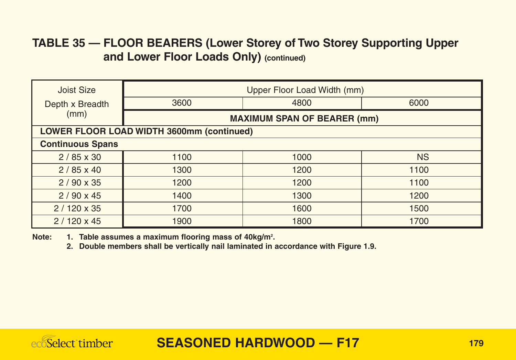#### **TABLE 35 — FLOOR BEARERS (Lower Storey of Two Storey Supporting Upper and Lower Floor Loads Only) (continued)**

| Joist Size                                | Upper Floor Load Width (mm)        |      |           |  |  |  |  |  |
|-------------------------------------------|------------------------------------|------|-----------|--|--|--|--|--|
| Depth x Breadth                           | 3600                               | 4800 | 6000      |  |  |  |  |  |
| (mm)                                      | <b>MAXIMUM SPAN OF BEARER (mm)</b> |      |           |  |  |  |  |  |
| LOWER FLOOR LOAD WIDTH 3600mm (continued) |                                    |      |           |  |  |  |  |  |
| <b>Continuous Spans</b>                   |                                    |      |           |  |  |  |  |  |
| $2/85 \times 30$                          | 1100                               | 1000 | <b>NS</b> |  |  |  |  |  |
| $2/85 \times 40$                          | 1300                               | 1200 | 1100      |  |  |  |  |  |
| $2/90 \times 35$                          | 1200                               | 1200 | 1100      |  |  |  |  |  |
| $2/90 \times 45$                          | 1400                               | 1300 | 1200      |  |  |  |  |  |
| $2/120 \times 35$                         | 1700                               | 1600 | 1500      |  |  |  |  |  |
| $2/120 \times 45$                         | 1900                               | 1800 | 1700      |  |  |  |  |  |

Note: 1. Table assumes a maximum flooring mass of 40kg/m<sup>2</sup>.

**2. Double members shall be vertically nail laminated in accordance with Figure 1.9.**

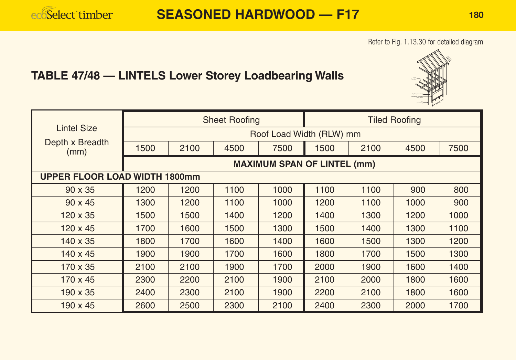#### Refer to Fig. 1.13.30 for detailed diagram

# **TABLE 47/48 — LINTELS Lower Storey Loadbearing Walls**

|                         | <b>Sheet Roofing</b>                 |                                    |      |      | <b>Tiled Roofing</b> |      |      |      |  |  |
|-------------------------|--------------------------------------|------------------------------------|------|------|----------------------|------|------|------|--|--|
| <b>Lintel Size</b>      | Roof Load Width (RLW) mm             |                                    |      |      |                      |      |      |      |  |  |
| Depth x Breadth<br>(mm) | 1500                                 | 2100                               | 4500 | 7500 | 1500                 | 2100 | 4500 | 7500 |  |  |
|                         |                                      | <b>MAXIMUM SPAN OF LINTEL (mm)</b> |      |      |                      |      |      |      |  |  |
|                         | <b>UPPER FLOOR LOAD WIDTH 1800mm</b> |                                    |      |      |                      |      |      |      |  |  |
| $90 \times 35$          | 1200                                 | 1200                               | 1100 | 1000 | 1100                 | 1100 | 900  | 800  |  |  |
| $90 \times 45$          | 1300                                 | 1200                               | 1100 | 1000 | 1200                 | 1100 | 1000 | 900  |  |  |
| $120 \times 35$         | 1500                                 | 1500                               | 1400 | 1200 | 1400                 | 1300 | 1200 | 1000 |  |  |
| $120 \times 45$         | 1700                                 | 1600                               | 1500 | 1300 | 1500                 | 1400 | 1300 | 1100 |  |  |
| 140 x 35                | 1800                                 | 1700                               | 1600 | 1400 | 1600                 | 1500 | 1300 | 1200 |  |  |
| $140 \times 45$         | 1900                                 | 1900                               | 1700 | 1600 | 1800                 | 1700 | 1500 | 1300 |  |  |
| 170 x 35                | 2100                                 | 2100                               | 1900 | 1700 | 2000                 | 1900 | 1600 | 1400 |  |  |
| $170 \times 45$         | 2300                                 | 2200                               | 2100 | 1900 | 2100                 | 2000 | 1800 | 1600 |  |  |
| $190 \times 35$         | 2400                                 | 2300                               | 2100 | 1900 | 2200                 | 2100 | 1800 | 1600 |  |  |
| 190 x 45                | 2600                                 | 2500                               | 2300 | 2100 | 2400                 | 2300 | 2000 | 1700 |  |  |

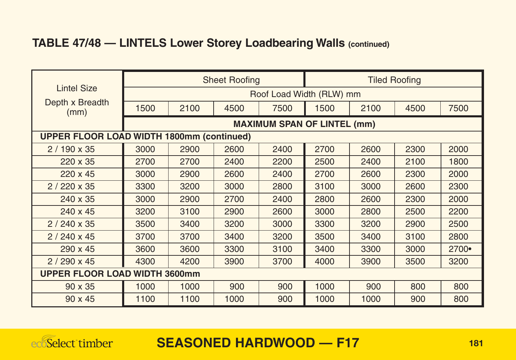## **TABLE 47/48 — LINTELS Lower Storey Loadbearing Walls (continued)**

|                                                  | <b>Sheet Roofing</b> |                          |      |                                    | <b>Tiled Roofing</b> |      |      |       |  |  |
|--------------------------------------------------|----------------------|--------------------------|------|------------------------------------|----------------------|------|------|-------|--|--|
| <b>Lintel Size</b>                               |                      | Roof Load Width (RLW) mm |      |                                    |                      |      |      |       |  |  |
| Depth x Breadth<br>(mm)                          | 1500                 | 2100                     | 4500 | 7500                               | 1500                 | 2100 | 4500 | 7500  |  |  |
|                                                  |                      |                          |      | <b>MAXIMUM SPAN OF LINTEL (mm)</b> |                      |      |      |       |  |  |
| <b>UPPER FLOOR LOAD WIDTH 1800mm (continued)</b> |                      |                          |      |                                    |                      |      |      |       |  |  |
| $2/190 \times 35$                                | 3000                 | 2900                     | 2600 | 2400                               | 2700                 | 2600 | 2300 | 2000  |  |  |
| 220 x 35                                         | 2700                 | 2700                     | 2400 | 2200                               | 2500                 | 2400 | 2100 | 1800  |  |  |
| 220 x 45                                         | 3000                 | 2900                     | 2600 | 2400                               | 2700                 | 2600 | 2300 | 2000  |  |  |
| $2/220 \times 35$                                | 3300                 | 3200                     | 3000 | 2800                               | 3100                 | 3000 | 2600 | 2300  |  |  |
| 240 x 35                                         | 3000                 | 2900                     | 2700 | 2400                               | 2800                 | 2600 | 2300 | 2000  |  |  |
| 240 x 45                                         | 3200                 | 3100                     | 2900 | 2600                               | 3000                 | 2800 | 2500 | 2200  |  |  |
| $2/240 \times 35$                                | 3500                 | 3400                     | 3200 | 3000                               | 3300                 | 3200 | 2900 | 2500  |  |  |
| $2/240 \times 45$                                | 3700                 | 3700                     | 3400 | 3200                               | 3500                 | 3400 | 3100 | 2800  |  |  |
| 290 x 45                                         | 3600                 | 3600                     | 3300 | 3100                               | 3400                 | 3300 | 3000 | 2700• |  |  |
| $2/290 \times 45$                                | 4300                 | 4200                     | 3900 | 3700                               | 4000                 | 3900 | 3500 | 3200  |  |  |
| <b>UPPER FLOOR LOAD WIDTH 3600mm</b>             |                      |                          |      |                                    |                      |      |      |       |  |  |
| $90 \times 35$                                   | 1000                 | 1000                     | 900  | 900                                | 1000                 | 900  | 800  | 800   |  |  |
| 90 x 45                                          | 1100                 | 1100                     | 1000 | 900                                | 1000                 | 1000 | 900  | 800   |  |  |

ecoSelect timber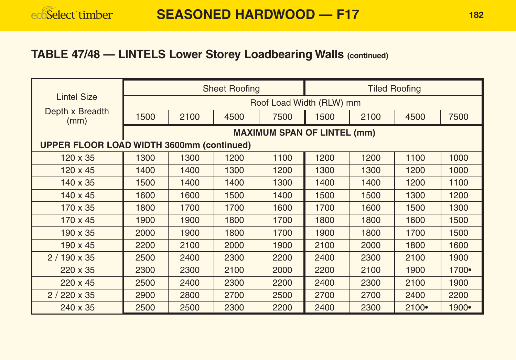#### **TABLE 47/48 — LINTELS Lower Storey Loadbearing Walls (continued)**

|                                                  | <b>Sheet Roofing</b>     |      |      |                                    | <b>Tiled Roofing</b> |      |       |       |  |
|--------------------------------------------------|--------------------------|------|------|------------------------------------|----------------------|------|-------|-------|--|
| <b>Lintel Size</b>                               | Roof Load Width (RLW) mm |      |      |                                    |                      |      |       |       |  |
| Depth x Breadth<br>(mm)                          | 1500                     | 2100 | 4500 | 7500                               | 1500                 | 2100 | 4500  | 7500  |  |
|                                                  |                          |      |      | <b>MAXIMUM SPAN OF LINTEL (mm)</b> |                      |      |       |       |  |
| <b>UPPER FLOOR LOAD WIDTH 3600mm (continued)</b> |                          |      |      |                                    |                      |      |       |       |  |
| $120 \times 35$                                  | 1300                     | 1300 | 1200 | 1100                               | 1200                 | 1200 | 1100  | 1000  |  |
| $120 \times 45$                                  | 1400                     | 1400 | 1300 | 1200                               | 1300                 | 1300 | 1200  | 1000  |  |
| 140 x 35                                         | 1500                     | 1400 | 1400 | 1300                               | 1400                 | 1400 | 1200  | 1100  |  |
| 140 x 45                                         | 1600                     | 1600 | 1500 | 1400                               | 1500                 | 1500 | 1300  | 1200  |  |
| 170 x 35                                         | 1800                     | 1700 | 1700 | 1600                               | 1700                 | 1600 | 1500  | 1300  |  |
| 170 x 45                                         | 1900                     | 1900 | 1800 | 1700                               | 1800                 | 1800 | 1600  | 1500  |  |
| 190 x 35                                         | 2000                     | 1900 | 1800 | 1700                               | 1900                 | 1800 | 1700  | 1500  |  |
| $190 \times 45$                                  | 2200                     | 2100 | 2000 | 1900                               | 2100                 | 2000 | 1800  | 1600  |  |
| $2/190 \times 35$                                | 2500                     | 2400 | 2300 | 2200                               | 2400                 | 2300 | 2100  | 1900  |  |
| 220 x 35                                         | 2300                     | 2300 | 2100 | 2000                               | 2200                 | 2100 | 1900  | 1700• |  |
| 220 x 45                                         | 2500                     | 2400 | 2300 | 2200                               | 2400                 | 2300 | 2100  | 1900  |  |
| $2/220 \times 35$                                | 2900                     | 2800 | 2700 | 2500                               | 2700                 | 2700 | 2400  | 2200  |  |
| 240 x 35                                         | 2500                     | 2500 | 2300 | 2200                               | 2400                 | 2300 | 2100• | 1900• |  |